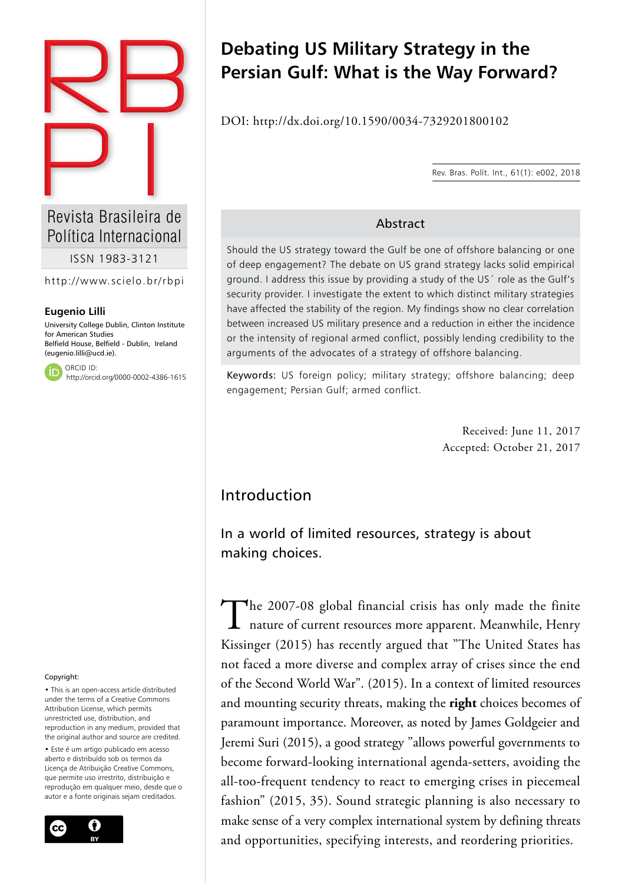

Política Internacional

ISSN 1983-3121

http://www.scielo.br/rbpi

#### **Eugenio Lilli**

University College Dublin, Clinton Institute for American Studies Belfield House, Belfield - Dublin, Ireland (eugenio.lilli@ucd.ie).

ORCID ID: http://orcid.org/0000-0002-4386-1615

#### Copyright:

• This is an open-access article distributed under the terms of a Creative Commons Attribution License, which permits unrestricted use, distribution, and reproduction in any medium, provided that the original author and source are credited.

• Este é um artigo publicado em acesso aberto e distribuído sob os termos da Licença de Atribuição Creative Commons, que permite uso irrestrito, distribuição e reprodução em qualquer meio, desde que o autor e a fonte originais sejam creditados.



# **Debating US Military Strategy in the Persian Gulf: What is the Way Forward?**

DOI: http://dx.doi.org/10.1590/0034-7329201800102

Rev. Bras. Polít. Int., 61(1): e002, 2018

#### Abstract

Should the US strategy toward the Gulf be one of offshore balancing or one of deep engagement? The debate on US grand strategy lacks solid empirical ground. I address this issue by providing a study of the US´ role as the Gulf's security provider. I investigate the extent to which distinct military strategies have affected the stability of the region. My findings show no clear correlation between increased US military presence and a reduction in either the incidence or the intensity of regional armed conflict, possibly lending credibility to the arguments of the advocates of a strategy of offshore balancing.

Keywords: US foreign policy; military strategy; offshore balancing; deep engagement; Persian Gulf; armed conflict.

> Received: June 11, 2017 Accepted: October 21, 2017

# Introduction

In a world of limited resources, strategy is about making choices.

The 2007-08 global financial crisis has only made the finite<br>nature of current resources more apparent. Meanwhile, Henry Kissinger (2015) has recently argued that "The United States has not faced a more diverse and complex array of crises since the end of the Second World War". (2015). In a context of limited resources and mounting security threats, making the **right** choices becomes of paramount importance. Moreover, as noted by James Goldgeier and Jeremi Suri (2015), a good strategy "allows powerful governments to become forward-looking international agenda-setters, avoiding the all-too-frequent tendency to react to emerging crises in piecemeal fashion" (2015, 35). Sound strategic planning is also necessary to make sense of a very complex international system by defining threats and opportunities, specifying interests, and reordering priorities.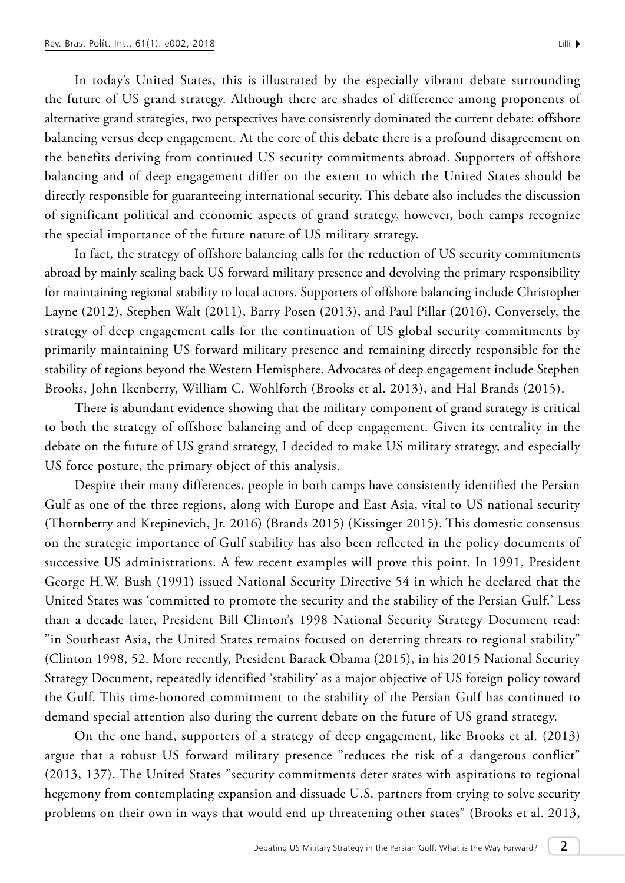In today's United States, this is illustrated by the especially vibrant debate surrounding the future of US grand strategy. Although there are shades of difference among proponents of alternative grand strategies, two perspectives have consistently dominated the current debate: offshore balancing versus deep engagement. At the core of this debate there is a profound disagreement on the benefits deriving from continued US security commitments abroad. Supporters of offshore balancing and of deep engagement differ on the extent to which the United States should be directly responsible for guaranteeing international security. This debate also includes the discussion of significant political and economic aspects of grand strategy, however, both camps recognize the special importance of the future nature of US military strategy.

In fact, the strategy of offshore balancing calls for the reduction of US security commitments abroad by mainly scaling back US forward military presence and devolving the primary responsibility for maintaining regional stability to local actors. Supporters of offshore balancing include Christopher Layne (2012), Stephen Walt (2011), Barry Posen (2013), and Paul Pillar (2016). Conversely, the strategy of deep engagement calls for the continuation of US global security commitments by primarily maintaining US forward military presence and remaining directly responsible for the stability of regions beyond the Western Hemisphere. Advocates of deep engagement include Stephen Brooks, John Ikenberry, William C. Wohlforth (Brooks et al. 2013), and Hal Brands (2015).

There is abundant evidence showing that the military component of grand strategy is critical to both the strategy of offshore balancing and of deep engagement. Given its centrality in the debate on the future of US grand strategy, I decided to make US military strategy, and especially US force posture, the primary object of this analysis.

Despite their many differences, people in both camps have consistently identified the Persian Gulf as one of the three regions, along with Europe and East Asia, vital to US national security (Thornberry and Krepinevich, Jr. 2016) (Brands 2015) (Kissinger 2015). This domestic consensus on the strategic importance of Gulf stability has also been reflected in the policy documents of successive US administrations. A few recent examples will prove this point. In 1991, President George H.W. Bush (1991) issued National Security Directive 54 in which he declared that the United States was 'committed to promote the security and the stability of the Persian Gulf.' Less than a decade later, President Bill Clinton's 1998 National Security Strategy Document read: "in Southeast Asia, the United States remains focused on deterring threats to regional stability" (Clinton 1998, 52. More recently, President Barack Obama (2015), in his 2015 National Security Strategy Document, repeatedly identified 'stability' as a major objective of US foreign policy toward the Gulf. This time-honored commitment to the stability of the Persian Gulf has continued to demand special attention also during the current debate on the future of US grand strategy.

On the one hand, supporters of a strategy of deep engagement, like Brooks et al. (2013) argue that a robust US forward military presence "reduces the risk of a dangerous conflict" (2013, 137). The United States "security commitments deter states with aspirations to regional hegemony from contemplating expansion and dissuade U.S. partners from trying to solve security problems on their own in ways that would end up threatening other states" (Brooks et al. 2013,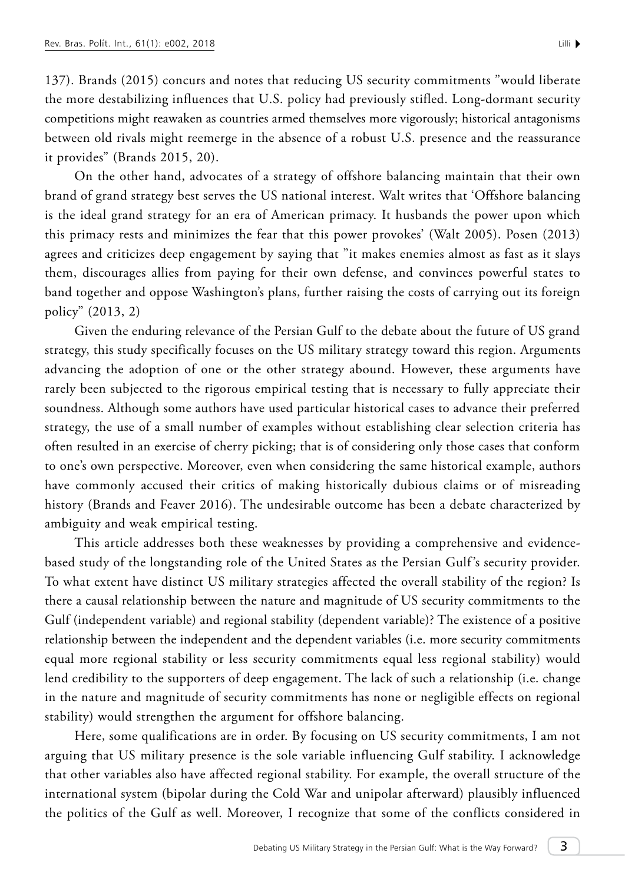137). Brands (2015) concurs and notes that reducing US security commitments "would liberate the more destabilizing influences that U.S. policy had previously stifled. Long-dormant security competitions might reawaken as countries armed themselves more vigorously; historical antagonisms between old rivals might reemerge in the absence of a robust U.S. presence and the reassurance it provides" (Brands 2015, 20).

On the other hand, advocates of a strategy of offshore balancing maintain that their own brand of grand strategy best serves the US national interest. Walt writes that 'Offshore balancing is the ideal grand strategy for an era of American primacy. It husbands the power upon which this primacy rests and minimizes the fear that this power provokes' (Walt 2005). Posen (2013) agrees and criticizes deep engagement by saying that "it makes enemies almost as fast as it slays them, discourages allies from paying for their own defense, and convinces powerful states to band together and oppose Washington's plans, further raising the costs of carrying out its foreign policy" (2013, 2)

Given the enduring relevance of the Persian Gulf to the debate about the future of US grand strategy, this study specifically focuses on the US military strategy toward this region. Arguments advancing the adoption of one or the other strategy abound. However, these arguments have rarely been subjected to the rigorous empirical testing that is necessary to fully appreciate their soundness. Although some authors have used particular historical cases to advance their preferred strategy, the use of a small number of examples without establishing clear selection criteria has often resulted in an exercise of cherry picking; that is of considering only those cases that conform to one's own perspective. Moreover, even when considering the same historical example, authors have commonly accused their critics of making historically dubious claims or of misreading history (Brands and Feaver 2016). The undesirable outcome has been a debate characterized by ambiguity and weak empirical testing.

This article addresses both these weaknesses by providing a comprehensive and evidencebased study of the longstanding role of the United States as the Persian Gulf 's security provider. To what extent have distinct US military strategies affected the overall stability of the region? Is there a causal relationship between the nature and magnitude of US security commitments to the Gulf (independent variable) and regional stability (dependent variable)? The existence of a positive relationship between the independent and the dependent variables (i.e. more security commitments equal more regional stability or less security commitments equal less regional stability) would lend credibility to the supporters of deep engagement. The lack of such a relationship (i.e. change in the nature and magnitude of security commitments has none or negligible effects on regional stability) would strengthen the argument for offshore balancing.

Here, some qualifications are in order. By focusing on US security commitments, I am not arguing that US military presence is the sole variable influencing Gulf stability. I acknowledge that other variables also have affected regional stability. For example, the overall structure of the international system (bipolar during the Cold War and unipolar afterward) plausibly influenced the politics of the Gulf as well. Moreover, I recognize that some of the conflicts considered in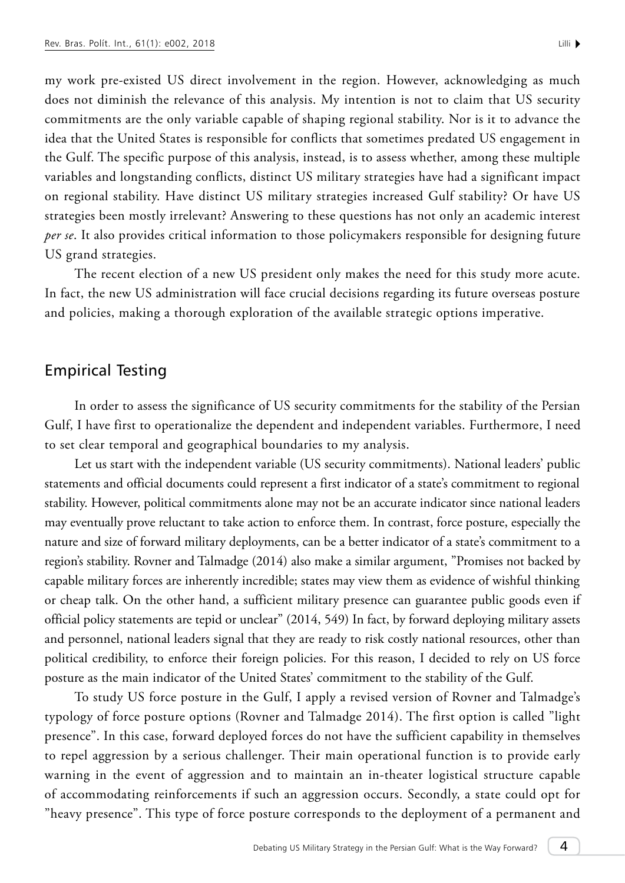my work pre-existed US direct involvement in the region. However, acknowledging as much does not diminish the relevance of this analysis. My intention is not to claim that US security commitments are the only variable capable of shaping regional stability. Nor is it to advance the idea that the United States is responsible for conflicts that sometimes predated US engagement in the Gulf. The specific purpose of this analysis, instead, is to assess whether, among these multiple variables and longstanding conflicts, distinct US military strategies have had a significant impact on regional stability. Have distinct US military strategies increased Gulf stability? Or have US strategies been mostly irrelevant? Answering to these questions has not only an academic interest *per se*. It also provides critical information to those policymakers responsible for designing future US grand strategies.

The recent election of a new US president only makes the need for this study more acute. In fact, the new US administration will face crucial decisions regarding its future overseas posture and policies, making a thorough exploration of the available strategic options imperative.

#### Empirical Testing

In order to assess the significance of US security commitments for the stability of the Persian Gulf, I have first to operationalize the dependent and independent variables. Furthermore, I need to set clear temporal and geographical boundaries to my analysis.

Let us start with the independent variable (US security commitments). National leaders' public statements and official documents could represent a first indicator of a state's commitment to regional stability. However, political commitments alone may not be an accurate indicator since national leaders may eventually prove reluctant to take action to enforce them. In contrast, force posture, especially the nature and size of forward military deployments, can be a better indicator of a state's commitment to a region's stability. Rovner and Talmadge (2014) also make a similar argument, "Promises not backed by capable military forces are inherently incredible; states may view them as evidence of wishful thinking or cheap talk. On the other hand, a sufficient military presence can guarantee public goods even if official policy statements are tepid or unclear" (2014, 549) In fact, by forward deploying military assets and personnel, national leaders signal that they are ready to risk costly national resources, other than political credibility, to enforce their foreign policies. For this reason, I decided to rely on US force posture as the main indicator of the United States' commitment to the stability of the Gulf.

To study US force posture in the Gulf, I apply a revised version of Rovner and Talmadge's typology of force posture options (Rovner and Talmadge 2014). The first option is called "light presence". In this case, forward deployed forces do not have the sufficient capability in themselves to repel aggression by a serious challenger. Their main operational function is to provide early warning in the event of aggression and to maintain an in-theater logistical structure capable of accommodating reinforcements if such an aggression occurs. Secondly, a state could opt for "heavy presence". This type of force posture corresponds to the deployment of a permanent and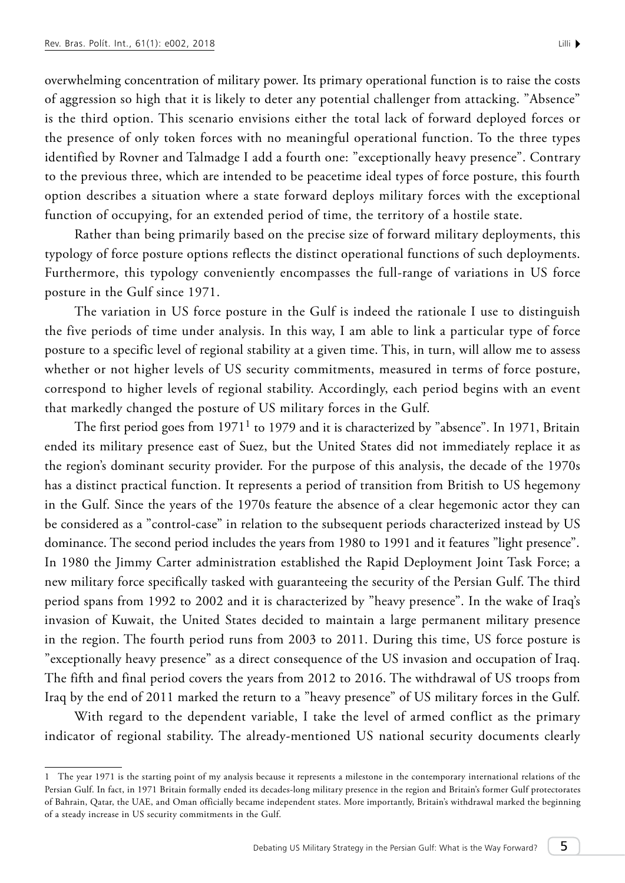overwhelming concentration of military power. Its primary operational function is to raise the costs of aggression so high that it is likely to deter any potential challenger from attacking. "Absence" is the third option. This scenario envisions either the total lack of forward deployed forces or the presence of only token forces with no meaningful operational function. To the three types identified by Rovner and Talmadge I add a fourth one: "exceptionally heavy presence". Contrary to the previous three, which are intended to be peacetime ideal types of force posture, this fourth option describes a situation where a state forward deploys military forces with the exceptional function of occupying, for an extended period of time, the territory of a hostile state.

Rather than being primarily based on the precise size of forward military deployments, this typology of force posture options reflects the distinct operational functions of such deployments. Furthermore, this typology conveniently encompasses the full-range of variations in US force posture in the Gulf since 1971.

The variation in US force posture in the Gulf is indeed the rationale I use to distinguish the five periods of time under analysis. In this way, I am able to link a particular type of force posture to a specific level of regional stability at a given time. This, in turn, will allow me to assess whether or not higher levels of US security commitments, measured in terms of force posture, correspond to higher levels of regional stability. Accordingly, each period begins with an event that markedly changed the posture of US military forces in the Gulf.

The first period goes from  $1971<sup>1</sup>$  to 1979 and it is characterized by "absence". In 1971, Britain ended its military presence east of Suez, but the United States did not immediately replace it as the region's dominant security provider. For the purpose of this analysis, the decade of the 1970s has a distinct practical function. It represents a period of transition from British to US hegemony in the Gulf. Since the years of the 1970s feature the absence of a clear hegemonic actor they can be considered as a "control-case" in relation to the subsequent periods characterized instead by US dominance. The second period includes the years from 1980 to 1991 and it features "light presence". In 1980 the Jimmy Carter administration established the Rapid Deployment Joint Task Force; a new military force specifically tasked with guaranteeing the security of the Persian Gulf. The third period spans from 1992 to 2002 and it is characterized by "heavy presence". In the wake of Iraq's invasion of Kuwait, the United States decided to maintain a large permanent military presence in the region. The fourth period runs from 2003 to 2011. During this time, US force posture is "exceptionally heavy presence" as a direct consequence of the US invasion and occupation of Iraq. The fifth and final period covers the years from 2012 to 2016. The withdrawal of US troops from Iraq by the end of 2011 marked the return to a "heavy presence" of US military forces in the Gulf.

With regard to the dependent variable, I take the level of armed conflict as the primary indicator of regional stability. The already-mentioned US national security documents clearly

<sup>1</sup> The year 1971 is the starting point of my analysis because it represents a milestone in the contemporary international relations of the Persian Gulf. In fact, in 1971 Britain formally ended its decades-long military presence in the region and Britain's former Gulf protectorates of Bahrain, Qatar, the UAE, and Oman officially became independent states. More importantly, Britain's withdrawal marked the beginning of a steady increase in US security commitments in the Gulf.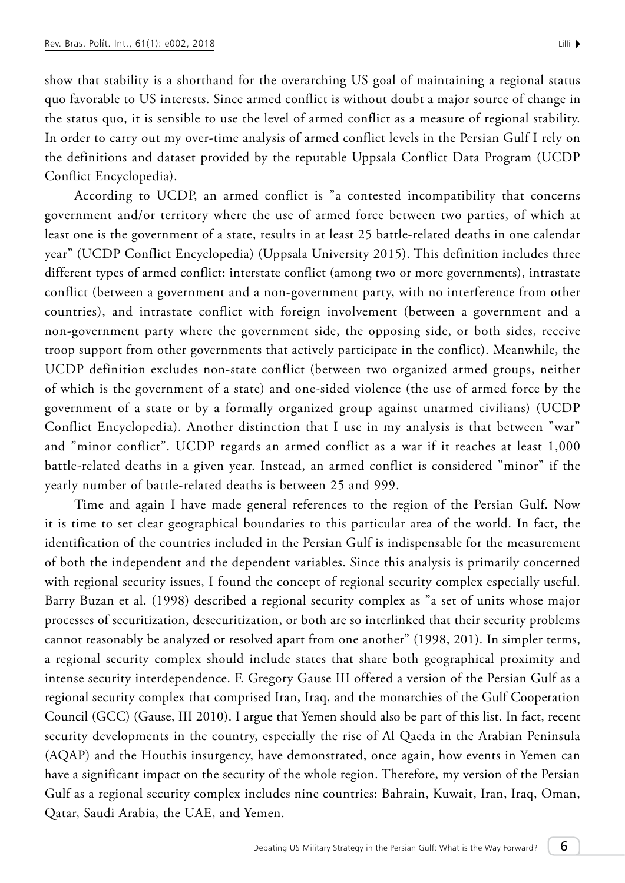show that stability is a shorthand for the overarching US goal of maintaining a regional status quo favorable to US interests. Since armed conflict is without doubt a major source of change in the status quo, it is sensible to use the level of armed conflict as a measure of regional stability. In order to carry out my over-time analysis of armed conflict levels in the Persian Gulf I rely on the definitions and dataset provided by the reputable Uppsala Conflict Data Program (UCDP Conflict Encyclopedia).

According to UCDP, an armed conflict is "a contested incompatibility that concerns government and/or territory where the use of armed force between two parties, of which at least one is the government of a state, results in at least 25 battle-related deaths in one calendar year" (UCDP Conflict Encyclopedia) (Uppsala University 2015). This definition includes three different types of armed conflict: interstate conflict (among two or more governments), intrastate conflict (between a government and a non-government party, with no interference from other countries), and intrastate conflict with foreign involvement (between a government and a non-government party where the government side, the opposing side, or both sides, receive troop support from other governments that actively participate in the conflict). Meanwhile, the UCDP definition excludes non-state conflict (between two organized armed groups, neither of which is the government of a state) and one-sided violence (the use of armed force by the government of a state or by a formally organized group against unarmed civilians) (UCDP Conflict Encyclopedia). Another distinction that I use in my analysis is that between "war" and "minor conflict". UCDP regards an armed conflict as a war if it reaches at least 1,000 battle-related deaths in a given year. Instead, an armed conflict is considered "minor" if the yearly number of battle-related deaths is between 25 and 999.

Time and again I have made general references to the region of the Persian Gulf. Now it is time to set clear geographical boundaries to this particular area of the world. In fact, the identification of the countries included in the Persian Gulf is indispensable for the measurement of both the independent and the dependent variables. Since this analysis is primarily concerned with regional security issues, I found the concept of regional security complex especially useful. Barry Buzan et al. (1998) described a regional security complex as "a set of units whose major processes of securitization, desecuritization, or both are so interlinked that their security problems cannot reasonably be analyzed or resolved apart from one another" (1998, 201). In simpler terms, a regional security complex should include states that share both geographical proximity and intense security interdependence. F. Gregory Gause III offered a version of the Persian Gulf as a regional security complex that comprised Iran, Iraq, and the monarchies of the Gulf Cooperation Council (GCC) (Gause, III 2010). I argue that Yemen should also be part of this list. In fact, recent security developments in the country, especially the rise of Al Qaeda in the Arabian Peninsula (AQAP) and the Houthis insurgency, have demonstrated, once again, how events in Yemen can have a significant impact on the security of the whole region. Therefore, my version of the Persian Gulf as a regional security complex includes nine countries: Bahrain, Kuwait, Iran, Iraq, Oman, Qatar, Saudi Arabia, the UAE, and Yemen.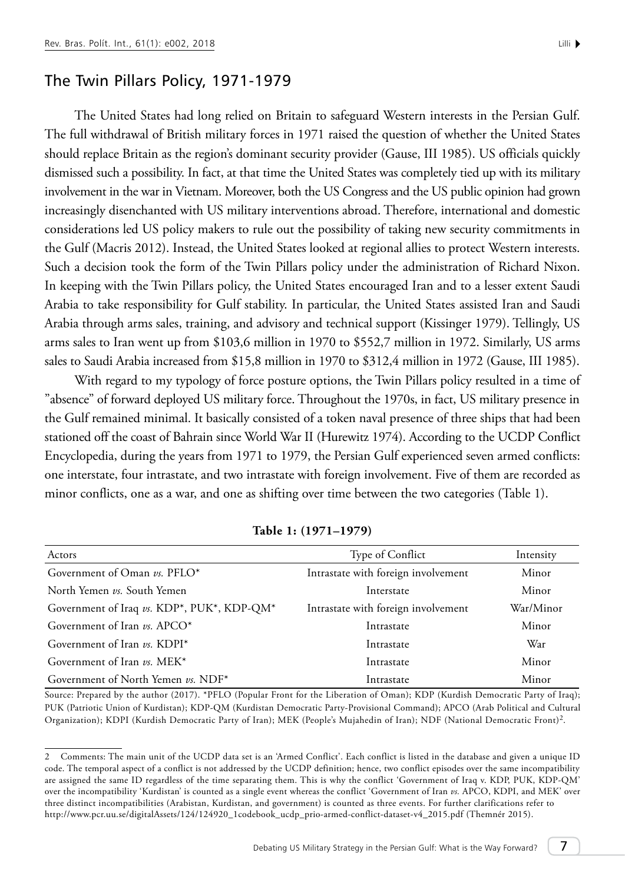## The Twin Pillars Policy, 1971-1979

The United States had long relied on Britain to safeguard Western interests in the Persian Gulf. The full withdrawal of British military forces in 1971 raised the question of whether the United States should replace Britain as the region's dominant security provider (Gause, III 1985). US officials quickly dismissed such a possibility. In fact, at that time the United States was completely tied up with its military involvement in the war in Vietnam. Moreover, both the US Congress and the US public opinion had grown increasingly disenchanted with US military interventions abroad. Therefore, international and domestic considerations led US policy makers to rule out the possibility of taking new security commitments in the Gulf (Macris 2012). Instead, the United States looked at regional allies to protect Western interests. Such a decision took the form of the Twin Pillars policy under the administration of Richard Nixon. In keeping with the Twin Pillars policy, the United States encouraged Iran and to a lesser extent Saudi Arabia to take responsibility for Gulf stability. In particular, the United States assisted Iran and Saudi Arabia through arms sales, training, and advisory and technical support (Kissinger 1979). Tellingly, US arms sales to Iran went up from \$103,6 million in 1970 to \$552,7 million in 1972. Similarly, US arms sales to Saudi Arabia increased from \$15,8 million in 1970 to \$312,4 million in 1972 (Gause, III 1985).

With regard to my typology of force posture options, the Twin Pillars policy resulted in a time of "absence" of forward deployed US military force. Throughout the 1970s, in fact, US military presence in the Gulf remained minimal. It basically consisted of a token naval presence of three ships that had been stationed off the coast of Bahrain since World War II (Hurewitz 1974). According to the UCDP Conflict Encyclopedia, during the years from 1971 to 1979, the Persian Gulf experienced seven armed conflicts: one interstate, four intrastate, and two intrastate with foreign involvement. Five of them are recorded as minor conflicts, one as a war, and one as shifting over time between the two categories (Table 1).

| Actors                                     | Type of Conflict                    | Intensity |
|--------------------------------------------|-------------------------------------|-----------|
| Government of Oman vs. PFLO*               | Intrastate with foreign involvement | Minor     |
| North Yemen vs. South Yemen                | Interstate                          | Minor     |
| Government of Iraq vs. KDP*, PUK*, KDP-QM* | Intrastate with foreign involvement | War/Minor |
| Government of Iran vs. APCO*               | Intrastate                          | Minor     |
| Government of Iran vs. KDPI*               | Intrastate                          | War       |
| Government of Iran vs. MEK*                | Intrastate                          | Minor     |
| Government of North Yemen vs. NDF*         | Intrastate                          | Minor     |

**Table 1: (1971–1979)**

Source: Prepared by the author (2017). \*PFLO (Popular Front for the Liberation of Oman); KDP (Kurdish Democratic Party of Iraq); PUK (Patriotic Union of Kurdistan); KDP-QM (Kurdistan Democratic Party-Provisional Command); APCO (Arab Political and Cultural Organization); KDPI (Kurdish Democratic Party of Iran); MEK (People's Mujahedin of Iran); NDF (National Democratic Front)2.

<sup>2</sup> Comments: The main unit of the UCDP data set is an 'Armed Conflict'. Each conflict is listed in the database and given a unique ID code. The temporal aspect of a conflict is not addressed by the UCDP definition; hence, two conflict episodes over the same incompatibility are assigned the same ID regardless of the time separating them. This is why the conflict 'Government of Iraq v. KDP, PUK, KDP-QM' over the incompatibility 'Kurdistan' is counted as a single event whereas the conflict 'Government of Iran *vs.* APCO, KDPI, and ME[K'](http://www.pcr.uu.se/digitalAssets/124/124920_1codebook_ucdp_prio-armed-conflict-dataset-v4_2015.pdf (Themnér 2015).) over three distinct incompatibilities (Arabistan, Kurdistan, and government) is counted as three events. For further clarifications refer to [http://www.pcr.uu.se/digitalAssets/124/124920\\_1codebook\\_ucdp\\_prio-armed-conflict-dataset-v4\\_2015.pdf \(Themnér 2015\).](http://www.pcr.uu.se/digitalAssets/124/124920_1codebook_ucdp_prio-armed-conflict-dataset-v4_2015.pdf (Themnér 2015).)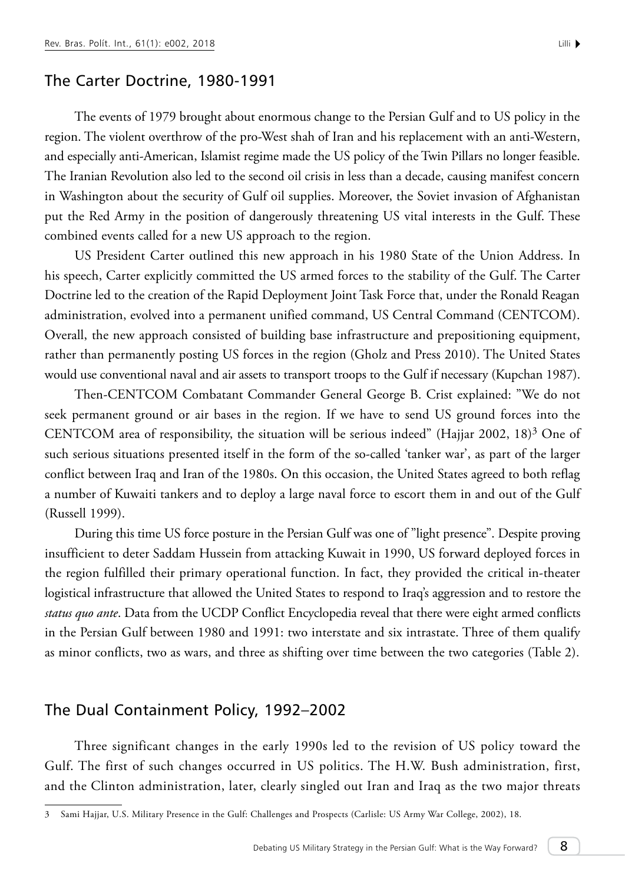#### The Carter Doctrine, 1980-1991

The events of 1979 brought about enormous change to the Persian Gulf and to US policy in the region. The violent overthrow of the pro-West shah of Iran and his replacement with an anti-Western, and especially anti-American, Islamist regime made the US policy of the Twin Pillars no longer feasible. The Iranian Revolution also led to the second oil crisis in less than a decade, causing manifest concern in Washington about the security of Gulf oil supplies. Moreover, the Soviet invasion of Afghanistan put the Red Army in the position of dangerously threatening US vital interests in the Gulf. These combined events called for a new US approach to the region.

US President Carter outlined this new approach in his 1980 State of the Union Address. In his speech, Carter explicitly committed the US armed forces to the stability of the Gulf. The Carter Doctrine led to the creation of the Rapid Deployment Joint Task Force that, under the Ronald Reagan administration, evolved into a permanent unified command, US Central Command (CENTCOM). Overall, the new approach consisted of building base infrastructure and prepositioning equipment, rather than permanently posting US forces in the region (Gholz and Press 2010). The United States would use conventional naval and air assets to transport troops to the Gulf if necessary (Kupchan 1987).

Then-CENTCOM Combatant Commander General George B. Crist explained: "We do not seek permanent ground or air bases in the region. If we have to send US ground forces into the CENTCOM area of responsibility, the situation will be serious indeed" (Hajjar 2002, 18)<sup>3</sup> One of such serious situations presented itself in the form of the so-called 'tanker war', as part of the larger conflict between Iraq and Iran of the 1980s. On this occasion, the United States agreed to both reflag a number of Kuwaiti tankers and to deploy a large naval force to escort them in and out of the Gulf (Russell 1999).

During this time US force posture in the Persian Gulf was one of "light presence". Despite proving insufficient to deter Saddam Hussein from attacking Kuwait in 1990, US forward deployed forces in the region fulfilled their primary operational function. In fact, they provided the critical in-theater logistical infrastructure that allowed the United States to respond to Iraq's aggression and to restore the *status quo ante*. Data from the UCDP Conflict Encyclopedia reveal that there were eight armed conflicts in the Persian Gulf between 1980 and 1991: two interstate and six intrastate. Three of them qualify as minor conflicts, two as wars, and three as shifting over time between the two categories (Table 2).

## The Dual Containment Policy, 1992–2002

Three significant changes in the early 1990s led to the revision of US policy toward the Gulf. The first of such changes occurred in US politics. The H.W. Bush administration, first, and the Clinton administration, later, clearly singled out Iran and Iraq as the two major threats

<sup>3</sup> Sami Hajjar, U.S. Military Presence in the Gulf: Challenges and Prospects (Carlisle: US Army War College, 2002), 18.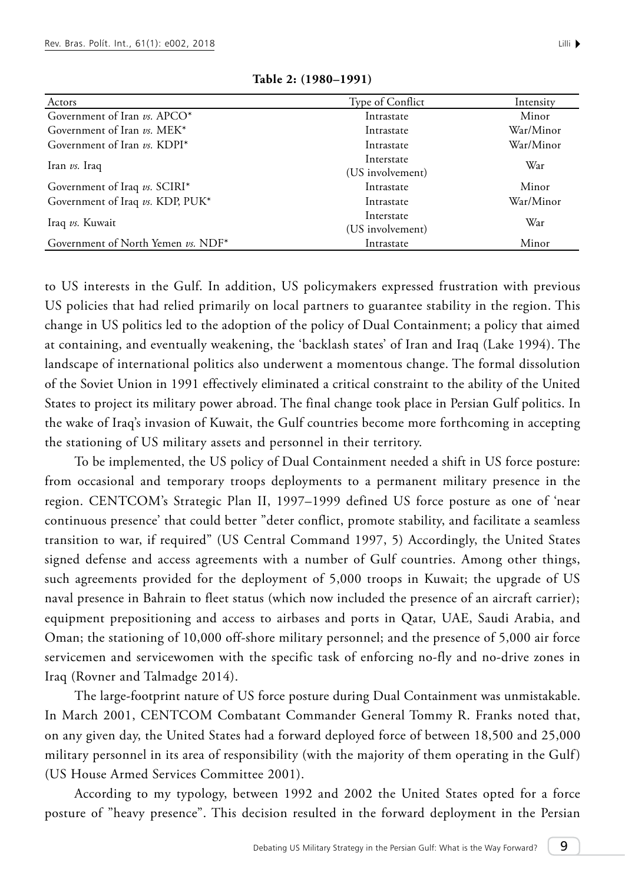| Actors                             | Type of Conflict               | Intensity |  |
|------------------------------------|--------------------------------|-----------|--|
| Government of Iran $\nu s$ . APCO* | Intrastate                     | Minor     |  |
| Government of Iran vs. MEK*        | Intrastate                     | War/Minor |  |
| Government of Iran vs. KDPI*       | Intrastate                     | War/Minor |  |
| Iran vs. Iraq                      | Interstate<br>(US involvement) | War       |  |
| Government of Iraq vs. SCIRI*      | Intrastate                     | Minor     |  |
| Government of Iraq vs. KDP, PUK*   | Intrastate                     | War/Minor |  |
| Iraq vs. Kuwait                    | Interstate<br>(US involvement) | War       |  |
| Government of North Yemen vs. NDF* | Intrastate                     | Minor     |  |

**Table 2: (1980–1991)**

to US interests in the Gulf. In addition, US policymakers expressed frustration with previous US policies that had relied primarily on local partners to guarantee stability in the region. This change in US politics led to the adoption of the policy of Dual Containment; a policy that aimed at containing, and eventually weakening, the 'backlash states' of Iran and Iraq (Lake 1994). The landscape of international politics also underwent a momentous change. The formal dissolution of the Soviet Union in 1991 effectively eliminated a critical constraint to the ability of the United States to project its military power abroad. The final change took place in Persian Gulf politics. In the wake of Iraq's invasion of Kuwait, the Gulf countries become more forthcoming in accepting the stationing of US military assets and personnel in their territory.

To be implemented, the US policy of Dual Containment needed a shift in US force posture: from occasional and temporary troops deployments to a permanent military presence in the region. CENTCOM's Strategic Plan II, 1997–1999 defined US force posture as one of 'near continuous presence' that could better "deter conflict, promote stability, and facilitate a seamless transition to war, if required" (US Central Command 1997, 5) Accordingly, the United States signed defense and access agreements with a number of Gulf countries. Among other things, such agreements provided for the deployment of 5,000 troops in Kuwait; the upgrade of US naval presence in Bahrain to fleet status (which now included the presence of an aircraft carrier); equipment prepositioning and access to airbases and ports in Qatar, UAE, Saudi Arabia, and Oman; the stationing of 10,000 off-shore military personnel; and the presence of 5,000 air force servicemen and servicewomen with the specific task of enforcing no-fly and no-drive zones in Iraq (Rovner and Talmadge 2014).

The large-footprint nature of US force posture during Dual Containment was unmistakable. In March 2001, CENTCOM Combatant Commander General Tommy R. Franks noted that, on any given day, the United States had a forward deployed force of between 18,500 and 25,000 military personnel in its area of responsibility (with the majority of them operating in the Gulf) (US House Armed Services Committee 2001).

According to my typology, between 1992 and 2002 the United States opted for a force posture of "heavy presence". This decision resulted in the forward deployment in the Persian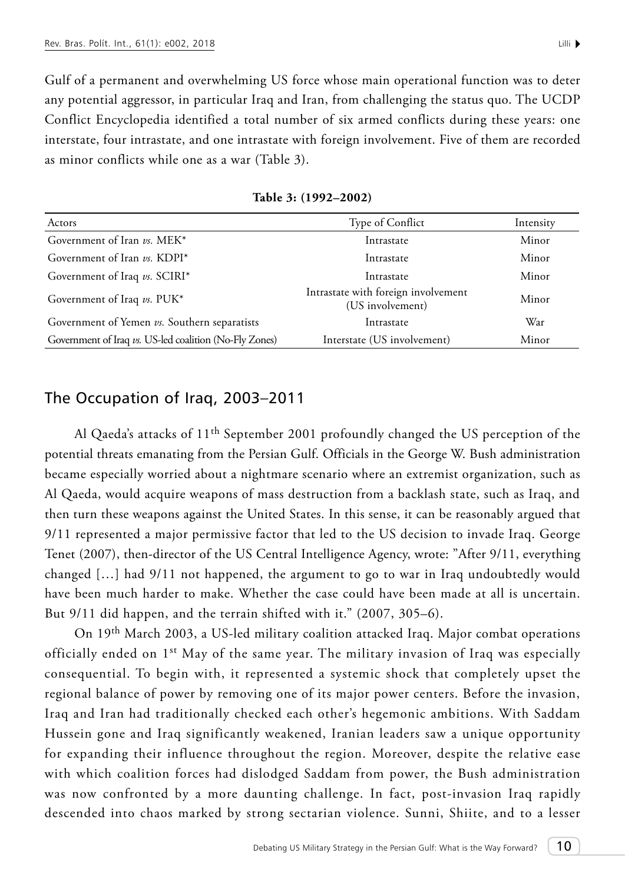Gulf of a permanent and overwhelming US force whose main operational function was to deter any potential aggressor, in particular Iraq and Iran, from challenging the status quo. The UCDP Conflict Encyclopedia identified a total number of six armed conflicts during these years: one interstate, four intrastate, and one intrastate with foreign involvement. Five of them are recorded as minor conflicts while one as a war (Table 3).

| Actors                                                 | Type of Conflict                                        | Intensity |
|--------------------------------------------------------|---------------------------------------------------------|-----------|
| Government of Iran vs. MEK*                            | Intrastate                                              | Minor     |
| Government of Iran vs. KDPI*                           | Intrastate                                              | Minor     |
| Government of Iraq vs. SCIRI*                          | Intrastate                                              | Minor     |
| Government of Iraq vs. PUK*                            | Intrastate with foreign involvement<br>(US involvement) | Minor     |
| Government of Yemen vs. Southern separatists           | Intrastate                                              | War       |
| Government of Iraq vs. US-led coalition (No-Fly Zones) | Interstate (US involvement)                             | Minor     |

**Table 3: (1992–2002)** 

## The Occupation of Iraq, 2003–2011

Al Qaeda's attacks of 11th September 2001 profoundly changed the US perception of the potential threats emanating from the Persian Gulf. Officials in the George W. Bush administration became especially worried about a nightmare scenario where an extremist organization, such as Al Qaeda, would acquire weapons of mass destruction from a backlash state, such as Iraq, and then turn these weapons against the United States. In this sense, it can be reasonably argued that 9/11 represented a major permissive factor that led to the US decision to invade Iraq. George Tenet (2007), then-director of the US Central Intelligence Agency, wrote: "After 9/11, everything changed […] had 9/11 not happened, the argument to go to war in Iraq undoubtedly would have been much harder to make. Whether the case could have been made at all is uncertain. But 9/11 did happen, and the terrain shifted with it." (2007, 305–6).

On 19th March 2003, a US-led military coalition attacked Iraq. Major combat operations officially ended on 1st May of the same year. The military invasion of Iraq was especially consequential. To begin with, it represented a systemic shock that completely upset the regional balance of power by removing one of its major power centers. Before the invasion, Iraq and Iran had traditionally checked each other's hegemonic ambitions. With Saddam Hussein gone and Iraq significantly weakened, Iranian leaders saw a unique opportunity for expanding their influence throughout the region. Moreover, despite the relative ease with which coalition forces had dislodged Saddam from power, the Bush administration was now confronted by a more daunting challenge. In fact, post-invasion Iraq rapidly descended into chaos marked by strong sectarian violence. Sunni, Shiite, and to a lesser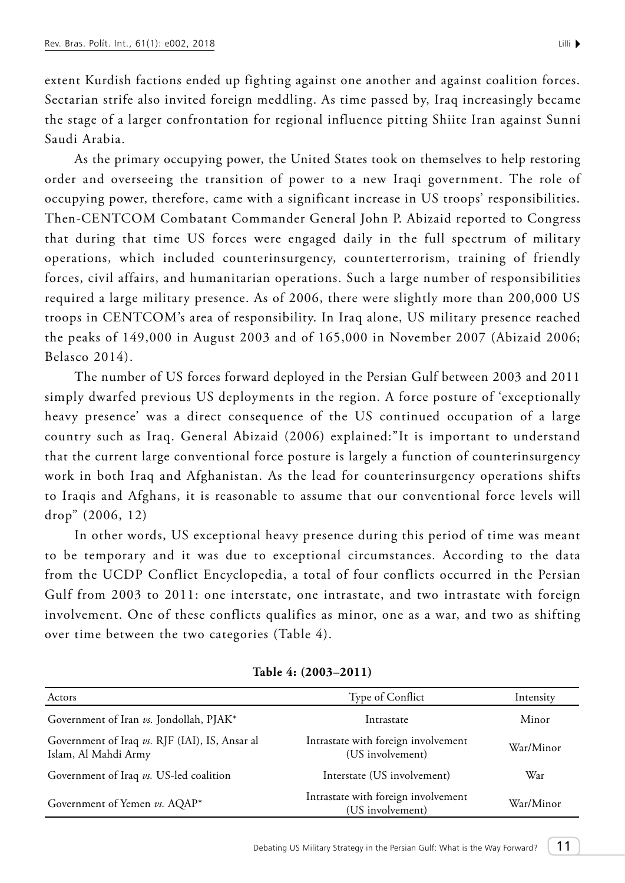extent Kurdish factions ended up fighting against one another and against coalition forces. Sectarian strife also invited foreign meddling. As time passed by, Iraq increasingly became the stage of a larger confrontation for regional influence pitting Shiite Iran against Sunni Saudi Arabia.

As the primary occupying power, the United States took on themselves to help restoring order and overseeing the transition of power to a new Iraqi government. The role of occupying power, therefore, came with a significant increase in US troops' responsibilities. Then-CENTCOM Combatant Commander General John P. Abizaid reported to Congress that during that time US forces were engaged daily in the full spectrum of military operations, which included counterinsurgency, counterterrorism, training of friendly forces, civil affairs, and humanitarian operations. Such a large number of responsibilities required a large military presence. As of 2006, there were slightly more than 200,000 US troops in CENTCOM's area of responsibility. In Iraq alone, US military presence reached the peaks of 149,000 in August 2003 and of 165,000 in November 2007 (Abizaid 2006; Belasco 2014).

The number of US forces forward deployed in the Persian Gulf between 2003 and 2011 simply dwarfed previous US deployments in the region. A force posture of 'exceptionally heavy presence' was a direct consequence of the US continued occupation of a large country such as Iraq. General Abizaid (2006) explained:"It is important to understand that the current large conventional force posture is largely a function of counterinsurgency work in both Iraq and Afghanistan. As the lead for counterinsurgency operations shifts to Iraqis and Afghans, it is reasonable to assume that our conventional force levels will drop" (2006, 12)

In other words, US exceptional heavy presence during this period of time was meant to be temporary and it was due to exceptional circumstances. According to the data from the UCDP Conflict Encyclopedia, a total of four conflicts occurred in the Persian Gulf from 2003 to 2011: one interstate, one intrastate, and two intrastate with foreign involvement. One of these conflicts qualifies as minor, one as a war, and two as shifting over time between the two categories (Table 4).

| Actors                                                                 | Type of Conflict                                        | Intensity |  |
|------------------------------------------------------------------------|---------------------------------------------------------|-----------|--|
| Government of Iran vs. Jondollah, PJAK*                                | Intrastate                                              | Minor     |  |
| Government of Iraq vs. RJF (IAI), IS, Ansar al<br>Islam, Al Mahdi Army | Intrastate with foreign involvement<br>(US involvement) | War/Minor |  |
| Government of Iraq vs. US-led coalition                                | Interstate (US involvement)                             | War       |  |
| Government of Yemen vs. AQAP*                                          | Intrastate with foreign involvement<br>(US involvement) | War/Minor |  |

**Table 4: (2003–2011)**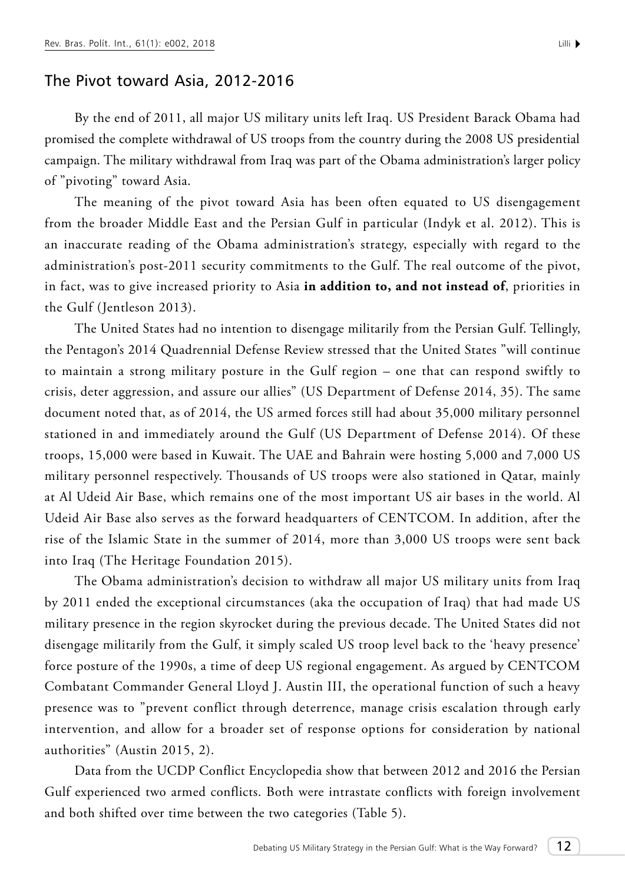#### The Pivot toward Asia, 2012-2016

By the end of 2011, all major US military units left Iraq. US President Barack Obama had promised the complete withdrawal of US troops from the country during the 2008 US presidential campaign. The military withdrawal from Iraq was part of the Obama administration's larger policy of "pivoting" toward Asia.

The meaning of the pivot toward Asia has been often equated to US disengagement from the broader Middle East and the Persian Gulf in particular (Indyk et al. 2012). This is an inaccurate reading of the Obama administration's strategy, especially with regard to the administration's post-2011 security commitments to the Gulf. The real outcome of the pivot, in fact, was to give increased priority to Asia **in addition to, and not instead of**, priorities in the Gulf (Jentleson 2013).

The United States had no intention to disengage militarily from the Persian Gulf. Tellingly, the Pentagon's 2014 Quadrennial Defense Review stressed that the United States "will continue to maintain a strong military posture in the Gulf region – one that can respond swiftly to crisis, deter aggression, and assure our allies" (US Department of Defense 2014, 35). The same document noted that, as of 2014, the US armed forces still had about 35,000 military personnel stationed in and immediately around the Gulf (US Department of Defense 2014). Of these troops, 15,000 were based in Kuwait. The UAE and Bahrain were hosting 5,000 and 7,000 US military personnel respectively. Thousands of US troops were also stationed in Qatar, mainly at Al Udeid Air Base, which remains one of the most important US air bases in the world. Al Udeid Air Base also serves as the forward headquarters of CENTCOM. In addition, after the rise of the Islamic State in the summer of 2014, more than 3,000 US troops were sent back into Iraq (The Heritage Foundation 2015).

The Obama administration's decision to withdraw all major US military units from Iraq by 2011 ended the exceptional circumstances (aka the occupation of Iraq) that had made US military presence in the region skyrocket during the previous decade. The United States did not disengage militarily from the Gulf, it simply scaled US troop level back to the 'heavy presence' force posture of the 1990s, a time of deep US regional engagement. As argued by CENTCOM Combatant Commander General Lloyd J. Austin III, the operational function of such a heavy presence was to "prevent conflict through deterrence, manage crisis escalation through early intervention, and allow for a broader set of response options for consideration by national authorities" (Austin 2015, 2).

Data from the UCDP Conflict Encyclopedia show that between 2012 and 2016 the Persian Gulf experienced two armed conflicts. Both were intrastate conflicts with foreign involvement and both shifted over time between the two categories (Table 5).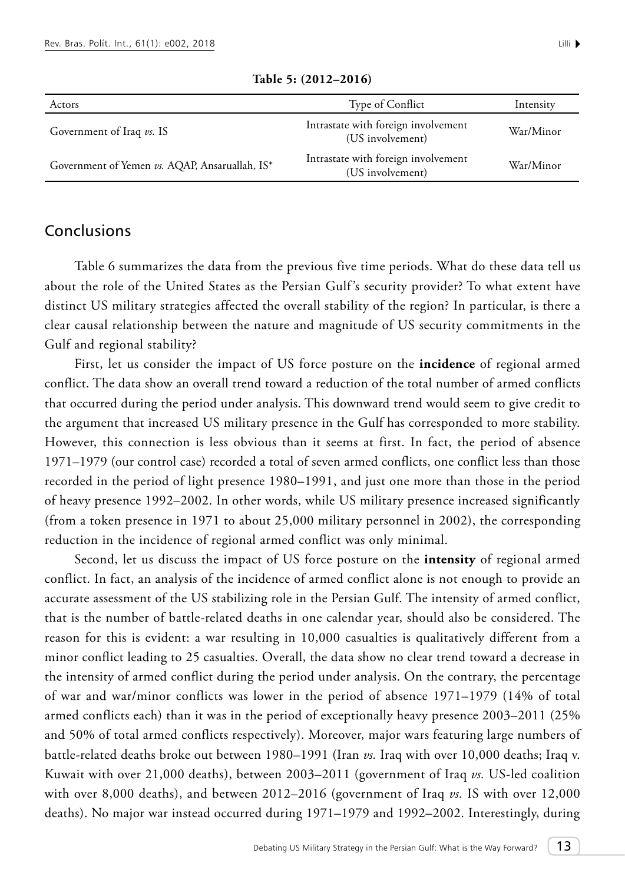**Table 5: (2012–2016)**

## Conclusions

Table 6 summarizes the data from the previous five time periods. What do these data tell us about the role of the United States as the Persian Gulf's security provider? To what extent have distinct US military strategies affected the overall stability of the region? In particular, is there a clear causal relationship between the nature and magnitude of US security commitments in the Gulf and regional stability?

First, let us consider the impact of US force posture on the **incidence** of regional armed conflict. The data show an overall trend toward a reduction of the total number of armed conflicts that occurred during the period under analysis. This downward trend would seem to give credit to the argument that increased US military presence in the Gulf has corresponded to more stability. However, this connection is less obvious than it seems at first. In fact, the period of absence 1971–1979 (our control case) recorded a total of seven armed conflicts, one conflict less than those recorded in the period of light presence 1980–1991, and just one more than those in the period of heavy presence 1992–2002. In other words, while US military presence increased significantly (from a token presence in 1971 to about 25,000 military personnel in 2002), the corresponding reduction in the incidence of regional armed conflict was only minimal.

Second, let us discuss the impact of US force posture on the **intensity** of regional armed conflict. In fact, an analysis of the incidence of armed conflict alone is not enough to provide an accurate assessment of the US stabilizing role in the Persian Gulf. The intensity of armed conflict, that is the number of battle-related deaths in one calendar year, should also be considered. The reason for this is evident: a war resulting in 10,000 casualties is qualitatively different from a minor conflict leading to 25 casualties. Overall, the data show no clear trend toward a decrease in the intensity of armed conflict during the period under analysis. On the contrary, the percentage of war and war/minor conflicts was lower in the period of absence 1971–1979 (14% of total armed conflicts each) than it was in the period of exceptionally heavy presence 2003–2011 (25% and 50% of total armed conflicts respectively). Moreover, major wars featuring large numbers of battle-related deaths broke out between 1980–1991 (Iran *vs.* Iraq with over 10,000 deaths; Iraq v. Kuwait with over 21,000 deaths), between 2003–2011 (government of Iraq *vs.* US-led coalition with over 8,000 deaths), and between 2012–2016 (government of Iraq *vs.* IS with over 12,000 deaths). No major war instead occurred during 1971–1979 and 1992–2002. Interestingly, during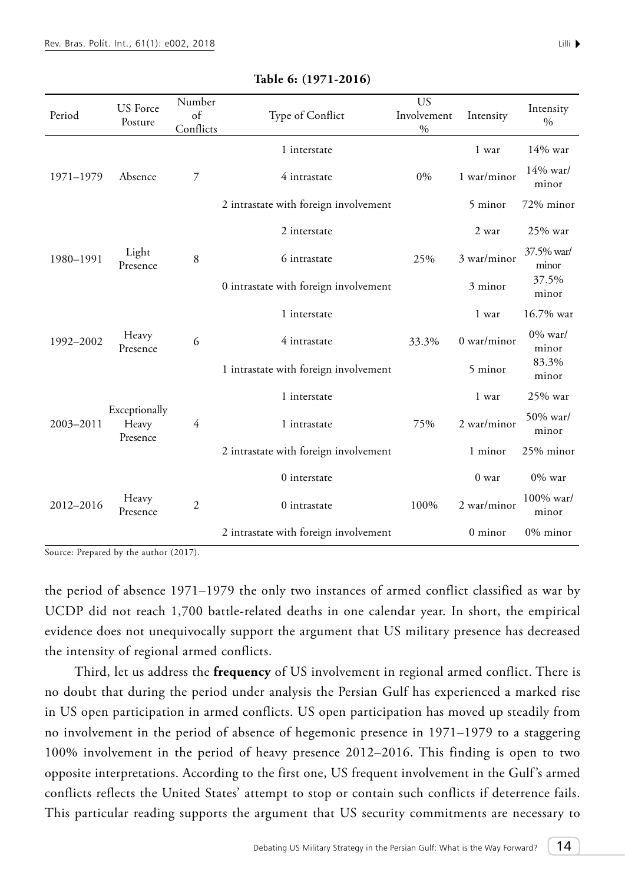| Period                                          | <b>US</b> Force<br>Posture | Number<br>of<br>Conflicts             | Type of Conflict                      | <b>US</b><br>Involvement<br>$\%$ | Intensity           | Intensity<br>$\%$  |
|-------------------------------------------------|----------------------------|---------------------------------------|---------------------------------------|----------------------------------|---------------------|--------------------|
| 1971-1979                                       |                            | $\overline{7}$                        | 1 interstate                          | $0\%$                            | 1 war               | 14% war            |
|                                                 | Absence                    |                                       | 4 intrastate                          |                                  | 1 war/minor         | 14% war/<br>minor  |
|                                                 |                            |                                       | 2 intrastate with foreign involvement |                                  | 5 minor             | 72% minor          |
| Light<br>1980-1991<br>Presence                  |                            |                                       | 2 interstate                          |                                  | 2 war               | 25% war            |
|                                                 | $\,8\,$                    | 6 intrastate                          | 25%                                   | 3 war/minor                      | 37.5% war/<br>minor |                    |
|                                                 |                            | 0 intrastate with foreign involvement |                                       | 3 minor                          | 37.5%<br>minor      |                    |
| Heavy<br>1992-2002<br>Presence                  | 6                          | 1 interstate                          |                                       | 1 war                            | 16.7% war           |                    |
|                                                 |                            | 4 intrastate                          | 33.3%                                 | $0$ war/minor                    | $0\%$ war/<br>minor |                    |
|                                                 |                            |                                       | 1 intrastate with foreign involvement |                                  | 5 minor             | 83.3%<br>minor     |
| Exceptionally<br>2003-2011<br>Heavy<br>Presence |                            | 1 interstate                          |                                       | 1 war                            | 25% war             |                    |
|                                                 |                            | $\overline{4}$                        | 1 intrastate                          | 75%                              | 2 war/minor         | 50% war/<br>minor  |
|                                                 |                            | 2 intrastate with foreign involvement |                                       | 1 minor                          | 25% minor           |                    |
|                                                 |                            |                                       | 0 interstate                          |                                  | 0 <sub>w</sub>      | $0\%$ war          |
| 2012-2016                                       | Heavy<br>Presence          | $\overline{c}$                        | 0 intrastate                          | 100%                             | 2 war/minor         | 100% war/<br>minor |
|                                                 |                            |                                       | 2 intrastate with foreign involvement |                                  | 0 minor             | 0% minor           |

#### **Table 6: (1971-2016)**

Source: Prepared by the author (2017).

the period of absence 1971–1979 the only two instances of armed conflict classified as war by UCDP did not reach 1,700 battle-related deaths in one calendar year. In short, the empirical evidence does not unequivocally support the argument that US military presence has decreased the intensity of regional armed conflicts.

Third, let us address the **frequency** of US involvement in regional armed conflict. There is no doubt that during the period under analysis the Persian Gulf has experienced a marked rise in US open participation in armed conflicts. US open participation has moved up steadily from no involvement in the period of absence of hegemonic presence in 1971–1979 to a staggering 100% involvement in the period of heavy presence 2012–2016. This finding is open to two opposite interpretations. According to the first one, US frequent involvement in the Gulf 's armed conflicts reflects the United States' attempt to stop or contain such conflicts if deterrence fails. This particular reading supports the argument that US security commitments are necessary to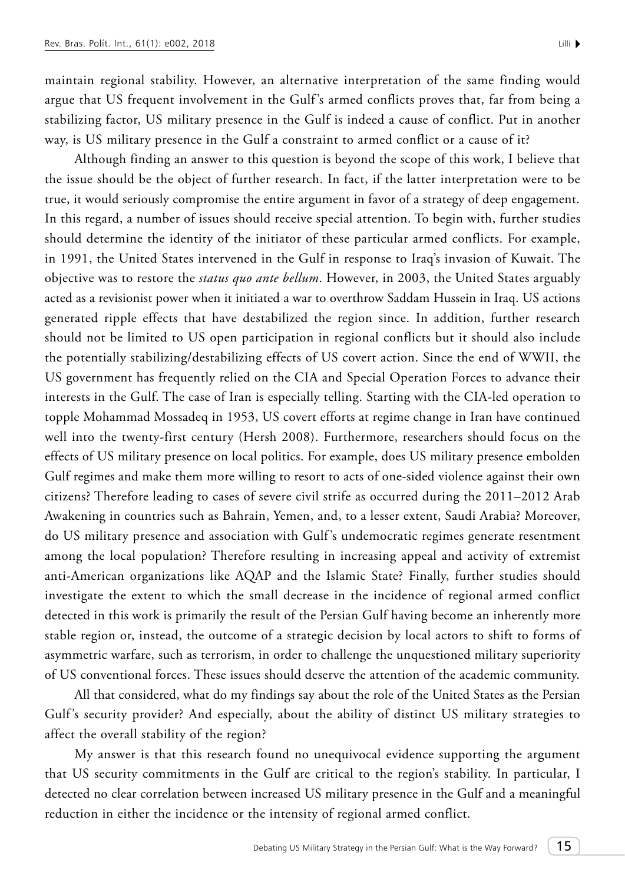maintain regional stability. However, an alternative interpretation of the same finding would argue that US frequent involvement in the Gulf's armed conflicts proves that, far from being a stabilizing factor, US military presence in the Gulf is indeed a cause of conflict. Put in another way, is US military presence in the Gulf a constraint to armed conflict or a cause of it?

Although finding an answer to this question is beyond the scope of this work, I believe that the issue should be the object of further research. In fact, if the latter interpretation were to be true, it would seriously compromise the entire argument in favor of a strategy of deep engagement. In this regard, a number of issues should receive special attention. To begin with, further studies should determine the identity of the initiator of these particular armed conflicts. For example, in 1991, the United States intervened in the Gulf in response to Iraq's invasion of Kuwait. The objective was to restore the *status quo ante bellum*. However, in 2003, the United States arguably acted as a revisionist power when it initiated a war to overthrow Saddam Hussein in Iraq. US actions generated ripple effects that have destabilized the region since. In addition, further research should not be limited to US open participation in regional conflicts but it should also include the potentially stabilizing/destabilizing effects of US covert action. Since the end of WWII, the US government has frequently relied on the CIA and Special Operation Forces to advance their interests in the Gulf. The case of Iran is especially telling. Starting with the CIA-led operation to topple Mohammad Mossadeq in 1953, US covert efforts at regime change in Iran have continued well into the twenty-first century (Hersh 2008). Furthermore, researchers should focus on the effects of US military presence on local politics. For example, does US military presence embolden Gulf regimes and make them more willing to resort to acts of one-sided violence against their own citizens? Therefore leading to cases of severe civil strife as occurred during the 2011–2012 Arab Awakening in countries such as Bahrain, Yemen, and, to a lesser extent, Saudi Arabia? Moreover, do US military presence and association with Gulf 's undemocratic regimes generate resentment among the local population? Therefore resulting in increasing appeal and activity of extremist anti-American organizations like AQAP and the Islamic State? Finally, further studies should investigate the extent to which the small decrease in the incidence of regional armed conflict detected in this work is primarily the result of the Persian Gulf having become an inherently more stable region or, instead, the outcome of a strategic decision by local actors to shift to forms of asymmetric warfare, such as terrorism, in order to challenge the unquestioned military superiority of US conventional forces. These issues should deserve the attention of the academic community.

All that considered, what do my findings say about the role of the United States as the Persian Gulf's security provider? And especially, about the ability of distinct US military strategies to affect the overall stability of the region?

My answer is that this research found no unequivocal evidence supporting the argument that US security commitments in the Gulf are critical to the region's stability. In particular, I detected no clear correlation between increased US military presence in the Gulf and a meaningful reduction in either the incidence or the intensity of regional armed conflict.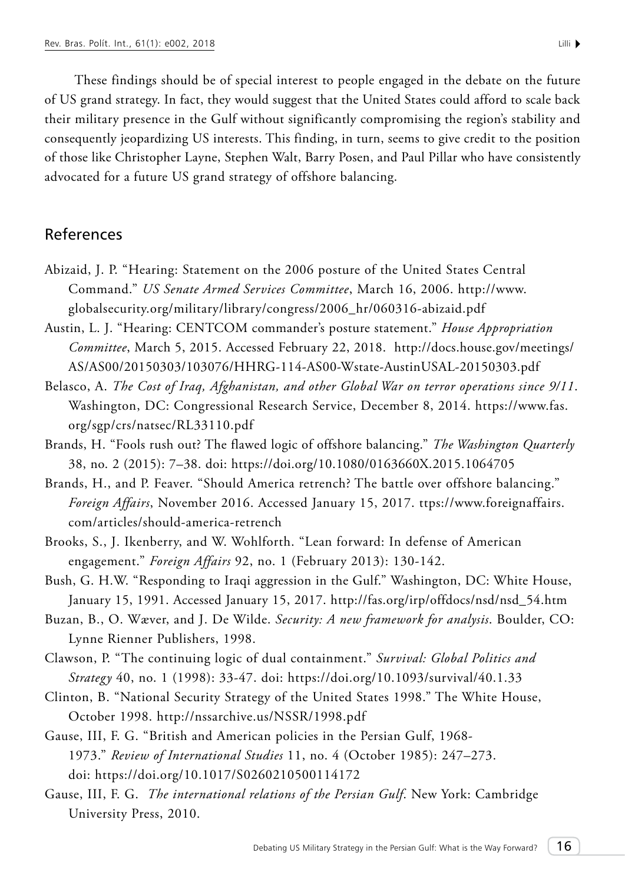These findings should be of special interest to people engaged in the debate on the future of US grand strategy. In fact, they would suggest that the United States could afford to scale back their military presence in the Gulf without significantly compromising the region's stability and consequently jeopardizing US interests. This finding, in turn, seems to give credit to the position of those like Christopher Layne, Stephen Walt, Barry Posen, and Paul Pillar who have consistently advocated for a future US grand strategy of offshore balancing.

## References

- Abizaid, J. P. "Hearing: Statement on the 2006 posture of the United States Central Command." *US Senate Armed Services Committee*, March 16, 2006. http://www. globalsecurity.org/military/library/congress/2006\_hr/060316-abizaid.pdf
- Austin, L. J. "Hearing: CENTCOM commander's posture statement." *House Appropriation Committee*, March 5, 2015. Accessed February 22, 2018. http://docs.house.gov/meetings/ AS/AS00/20150303/103076/HHRG-114-AS00-Wstate-AustinUSAL-20150303.pdf
- Belasco, A. *The Cost of Iraq, Afghanistan, and other Global War on terror operations since 9/11*. Washington, DC: Congressional Research Service, December 8, 2014. https://www.fas. org/sgp/crs/natsec/RL33110.pdf
- Brands, H. "Fools rush out? The flawed logic of offshore balancing." *The Washington Quarterly* 38, no. 2 (2015): 7–38. doi: https://doi.org/10.1080/0163660X.2015.1064705
- Brands, H., and P. Feaver. "Should America retrench? The battle over offshore balancing." *Foreign Affairs*, November 2016. Accessed January 15, 2017. ttps://www.foreignaffairs. com/articles/should-america-retrench
- Brooks, S., J. Ikenberry, and W. Wohlforth. "Lean forward: In defense of American engagement." *Foreign Affairs* 92, no. 1 (February 2013): 130-142.
- Bush, G. H.W. "Responding to Iraqi aggression in the Gulf." Washington, DC: White House, January 15, 1991. Accessed January 15, 2017. http://fas.org/irp/offdocs/nsd/nsd\_54.htm
- Buzan, B., O. Wæver, and J. De Wilde. *Security: A new framework for analysis*. Boulder, CO: Lynne Rienner Publishers, 1998.
- Clawson, P. "The continuing logic of dual containment." *Survival: Global Politics and Strategy* 40, no. 1 (1998): 33-47. doi: https://doi.org/10.1093/survival/40.1.33
- Clinton, B. "National Security Strategy of the United States 1998." The White House, October 1998. http://nssarchive.us/NSSR/1998.pdf
- Gause, III, F. G. "British and American policies in the Persian Gulf, 1968- 1973." *Review of International Studies* 11, no. 4 (October 1985): 247–273. doi: https://doi.org/10.1017/S0260210500114172
- Gause, III, F. G. *The international relations of the Persian Gulf*. New York: Cambridge University Press, 2010.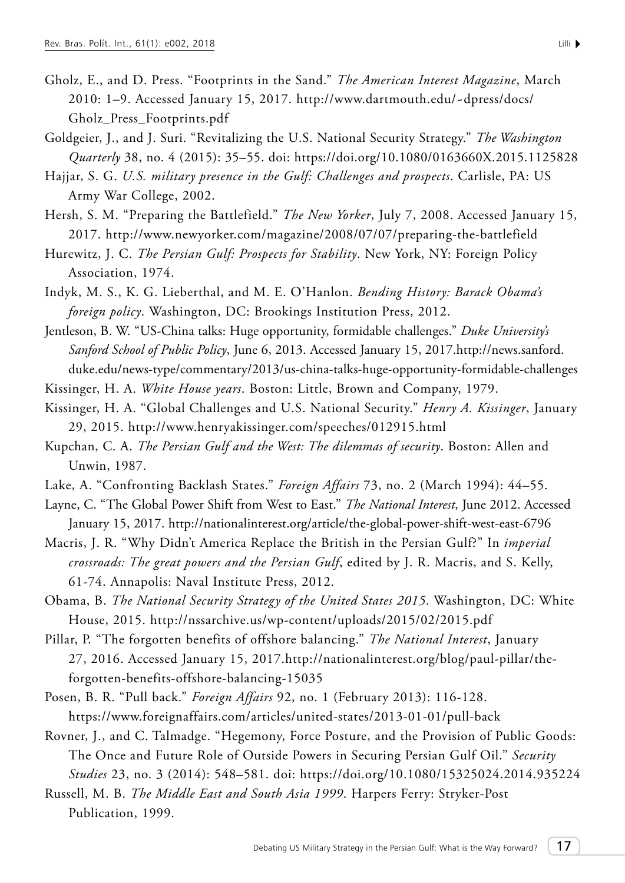- Gholz, E., and D. Press. "Footprints in the Sand." *The American Interest Magazine*, March 2010: 1–9. Accessed January 15, 2017. http://www.dartmouth.edu/~dpress/docs/ Gholz\_Press\_Footprints.pdf
- Goldgeier, J., and J. Suri. "Revitalizing the U.S. National Security Strategy." *The Washington Quarterly* 38, no. 4 (2015): 35–55. doi: https://doi.org/10.1080/0163660X.2015.1125828
- Hajjar, S. G. *U.S. military presence in the Gulf: Challenges and prospects*. Carlisle, PA: US Army War College, 2002.
- Hersh, S. M. "Preparing the Battlefield." *The New Yorker*, July 7, 2008. Accessed January 15, 2017. http://www.newyorker.com/magazine/2008/07/07/preparing-the-battlefield
- Hurewitz, J. C. *The Persian Gulf: Prospects for Stability*. New York, NY: Foreign Policy Association, 1974.
- Indyk, M. S., K. G. Lieberthal, and M. E. O'Hanlon. *Bending History: Barack Obama's foreign policy*. Washington, DC: Brookings Institution Press, 2012.
- Jentleson, B. W. "US-China talks: Huge opportunity, formidable challenges." *Duke University's Sanford School of Public Policy*, June 6, 2013. Accessed January 15, 2017.http://news.sanford. duke.edu/news-type/commentary/2013/us-china-talks-huge-opportunity-formidable-challenges
- Kissinger, H. A. *White House years*. Boston: Little, Brown and Company, 1979.
- Kissinger, H. A. "Global Challenges and U.S. National Security." *Henry A. Kissinger*, January 29, 2015. http://www.henryakissinger.com/speeches/012915.html
- Kupchan, C. A. *The Persian Gulf and the West: The dilemmas of security*. Boston: Allen and Unwin, 1987.
- Lake, A. "Confronting Backlash States." *Foreign Affairs* 73, no. 2 (March 1994): 44–55.
- Layne, C. "The Global Power Shift from West to East." *The National Interest*, June 2012. Accessed January 15, 2017. http://nationalinterest.org/article/the-global-power-shift-west-east-6796
- Macris, J. R. "Why Didn't America Replace the British in the Persian Gulf?" In *imperial crossroads: The great powers and the Persian Gulf*, edited by J. R. Macris, and S. Kelly, 61-74. Annapolis: Naval Institute Press, 2012.
- Obama, B. *The National Security Strategy of the United States 2015*. Washington, DC: White House, 2015. <http://nssarchive.us/wp-content/uploads/2015/02/2015.pdf>
- Pillar, P. "The forgotten benefits of offshore balancing." *The National Interest*, January 27, 2016. Accessed January 15, 2017.http://nationalinterest.org/blog/paul-pillar/theforgotten-benefits-offshore-balancing-15035
- Posen, B. R. "Pull back." *Foreign Affairs* 92, no. 1 (February 2013): 116-128. https://www.foreignaffairs.com/articles/united-states/2013-01-01/pull-back
- Rovner, J., and C. Talmadge. "Hegemony, Force Posture, and the Provision of Public Goods: The Once and Future Role of Outside Powers in Securing Persian Gulf Oil." *Security Studies* 23, no. 3 (2014): 548–581. doi: https://doi.org/10.1080/15325024.2014.935224
- Russell, M. B. *The Middle East and South Asia 1999*. Harpers Ferry: Stryker-Post Publication, 1999.